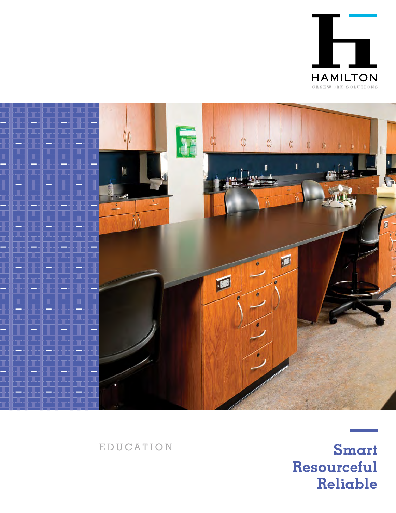



EDUCATION

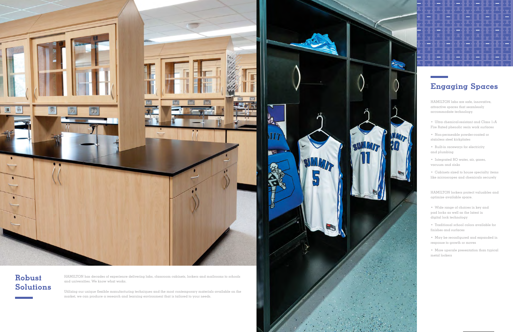

MIT

**Na** 

HAMILTON has decades of experience delivering labs, classroom cabinets, lockers and mailrooms to schools and universities. We know what works.

Utilizing our unique flexible manufacturing techniques and the most contemporary materials available on the market, we can produce a research and learning environment that is tailored to your needs.

## Robust Solutions

HAMILTON labs are safe, innovative, attractive spaces that seamlessly accommodate technology.

- Ultra chemical-resistant and Class 1/A Fire Rated phenolic resin work surfaces
- Non-permeable powder-coated or stainless steel kickplates
- Built-in raceways for electricity and plumbing

SUMMIT

4

• Integrated RO water, air, gases, vacuum and sinks

• Cabinets sized to house specialty items like microscopes and chemicals securely

HAMILTON lockers protect valuables and optimize available space.

- Wide range of choices in key and pad locks as well as the latest in digital lock technology
- Traditional school colors available for finishes and surfaces

• May be reconfigured and expanded in response to growth or moves

• More upscale presentation than typical metal lockers

## Engaging Spaces